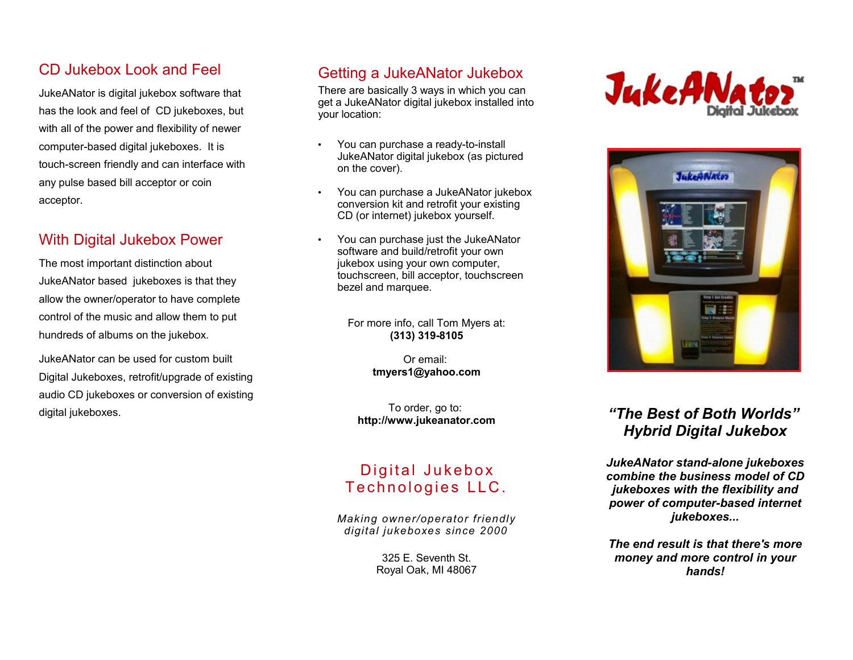# CD Jukebox Look and Feel

JukeANator is digital jukebox software that has the look and feel of CD jukeboxes, but with all of the power and flexibility of newer computer-based digital jukeboxes. It is touch-screen friendly and can interface with any pulse based bill acceptor or coin acceptor.

#### With Digital Jukebox Power

The most important distinction about JukeANator based jukeboxes is that they allow the owner/operator to have complete control of the music and allow them to put hundreds of albums on the jukebox.

JukeANator can be used for custom built Digital Jukeboxes, retrofit/upgrade of existing audio CD jukeboxes or conversion of existing digital jukeboxes.

# Getting a JukeANator Jukebox

There are basically 3 ways in which you can get a JukeANator digital jukebox installed into your location:

- You can purchase a ready-to-install JukeANator digital jukebox (as pictured on the cover).
- You can purchase a JukeANator jukebox conversion kit and retrofit your existing CD (or internet) jukebox yourself.
- You can purchase just the JukeANator software and build/retrofit your own jukebox using your own computer, touchscreen, bill acceptor, touchscreen bezel and marquee.

For more info, call Tom Myers at: **(313) 319-8105**

> Or email: **[tmyers1@yahoo.com](mailto:tmyers1@yahoo.com)**

To order, go to: **[http://www.jukeanator.com](http://www.jukeanator.com/)**

## Digital Jukebox Technologies LLC.

*Making owner/operator friendly digital jukeboxes since 2000*

> 325 E. Seventh St. Royal Oak, MI 48067





# *"The Best of Both Worlds" Hybrid Digital Jukebox*

*JukeANator stand-alone jukeboxes combine the business model of CD jukeboxes with the flexibility and power of computer-based internet jukeboxes...*

*The end result is that there's more money and more control in your hands!*